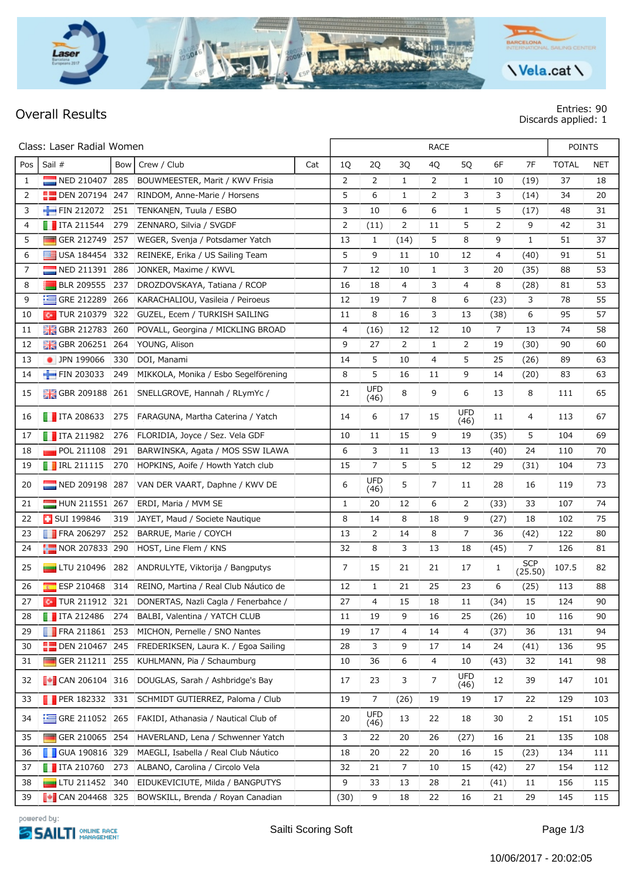

**Overall Results Entries: 90 Discards applied: 1**

| Class: Laser Radial Women |                               |     |                                                        |     | <b>RACE</b>    |                    |                |              |                    |      |                       | <b>POINTS</b> |            |  |
|---------------------------|-------------------------------|-----|--------------------------------------------------------|-----|----------------|--------------------|----------------|--------------|--------------------|------|-----------------------|---------------|------------|--|
| Pos                       | Sail #                        | Bow | Crew / Club                                            | Cat | 1Q             | 2Q                 | 3Q             | 4Q           | 5Q                 | 6F   | 7F                    | <b>TOTAL</b>  | <b>NET</b> |  |
| $\mathbf{1}$              | NED 210407 285                |     | BOUWMEESTER, Marit / KWV Frisia                        |     | $\overline{2}$ | $\overline{2}$     | $\mathbf{1}$   | 2            | $\mathbf{1}$       | 10   | (19)                  | 37            | 18         |  |
| $\overline{2}$            | $\blacksquare$ DEN 207194 247 |     | RINDOM, Anne-Marie / Horsens                           |     | 5              | 6                  | 1              | 2            | 3                  | 3    | (14)                  | 34            | 20         |  |
| 3                         | $FIN 212072$ 251              |     | TENKANEN, Tuula / ESBO                                 |     | 3              | 10                 | 6              | 6            | $\mathbf{1}$       | 5    | (17)                  | 48            | 31         |  |
| $\overline{4}$            | $\blacksquare$ ITA 211544     | 279 | ZENNARO, Silvia / SVGDF                                |     | 2              | (11)               | $\overline{2}$ | 11           | 5                  | 2    | 9                     | 42            | 31         |  |
| 5                         | GER 212749 257                |     | WEGER, Svenja / Potsdamer Yatch                        |     | 13             | $\mathbf{1}$       | (14)           | 5            | 8                  | 9    | $\mathbf{1}$          | 51            | 37         |  |
| 6                         | $\Box$ USA 184454 332         |     | REINEKE, Erika / US Sailing Team                       |     | 5              | 9                  | 11             | 10           | 12                 | 4    | (40)                  | 91            | 51         |  |
| 7                         | $\blacksquare$ NED 211391 286 |     | JONKER, Maxime / KWVL                                  |     | 7              | 12                 | 10             | $\mathbf{1}$ | 3                  | 20   | (35)                  | 88            | 53         |  |
| 8                         | BLR 209555 237                |     | DROZDOVSKAYA, Tatiana / RCOP                           |     | 16             | 18                 | 4              | 3            | 4                  | 8    | (28)                  | 81            | 53         |  |
| 9                         | $\equiv$ GRE 212289           | 266 | KARACHALIOU, Vasileia / Peiroeus                       |     | 12             | 19                 | $\overline{7}$ | 8            | 6                  | (23) | 3                     | 78            | 55         |  |
| 10                        |                               |     | <b>Co</b> TUR 210379 322 GUZEL, Ecem / TURKISH SAILING |     | 11             | 8                  | 16             | 3            | 13                 | (38) | 6                     | 95            | 57         |  |
| 11                        | <b>B</b> GBR 212783 260       |     | POVALL, Georgina / MICKLING BROAD                      |     | 4              | (16)               | 12             | 12           | 10                 | 7    | 13                    | 74            | 58         |  |
| 12                        | <b>H</b> GBR 206251 264       |     | YOUNG, Alison                                          |     | 9              | 27                 | 2              | $\mathbf{1}$ | 2                  | 19   | (30)                  | 90            | 60         |  |
| 13                        | DPN 199066                    | 330 | DOI, Manami                                            |     | 14             | 5                  | 10             | 4            | 5                  | 25   | (26)                  | 89            | 63         |  |
| 14                        | FIN 203033                    | 249 | MIKKOLA, Monika / Esbo Segelförening                   |     | 8              | 5                  | 16             | 11           | 9                  | 14   | (20)                  | 83            | 63         |  |
| 15                        |                               |     | GBR 209188 261 SNELLGROVE, Hannah / RLymYc /           |     | 21             | <b>UFD</b><br>(46) | 8              | 9            | 6                  | 13   | 8                     | 111           | 65         |  |
| 16                        | $\blacksquare$ ITA 208633     | 275 | FARAGUNA, Martha Caterina / Yatch                      |     | 14             | 6                  | 17             | 15           | <b>UFD</b><br>(46) | 11   | 4                     | 113           | 67         |  |
| 17                        | $\blacksquare$ ITA 211982     | 276 | FLORIDIA, Joyce / Sez. Vela GDF                        |     | 10             | 11                 | 15             | 9            | 19                 | (35) | 5                     | 104           | 69         |  |
| 18                        | $\blacksquare$ POL 211108     | 291 | BARWINSKA, Agata / MOS SSW ILAWA                       |     | 6              | 3                  | 11             | 13           | 13                 | (40) | 24                    | 110           | 70         |  |
| 19                        | $\blacksquare$ IRL 211115     | 270 | HOPKINS, Aoife / Howth Yatch club                      |     | 15             | 7                  | 5              | 5            | 12                 | 29   | (31)                  | 104           | 73         |  |
| 20                        |                               |     | NED 209198 287 VAN DER VAART, Daphne / KWV DE          |     | 6              | <b>UFD</b><br>(46) | 5              | 7            | 11                 | 28   | 16                    | 119           | 73         |  |
| 21                        | HUN 211551 267                |     | ERDI, Maria / MVM SE                                   |     | $\mathbf{1}$   | 20                 | 12             | 6            | 2                  | (33) | 33                    | 107           | 74         |  |
| 22                        | <b>BUI 199846</b>             | 319 | JAYET, Maud / Societe Nautique                         |     | 8              | 14                 | 8              | 18           | 9                  | (27) | 18                    | 102           | 75         |  |
| 23                        | $\blacksquare$ FRA 206297     | 252 | BARRUE, Marie / COYCH                                  |     | 13             | $\overline{2}$     | 14             | 8            | 7                  | 36   | (42)                  | 122           | 80         |  |
| 24                        | NOR 207833 290                |     | HÖST, Line Flem / KNS                                  |     | 32             | 8                  | 3              | 13           | 18                 | (45) | 7                     | 126           | 81         |  |
| 25                        |                               |     | LTU 210496 282 ANDRULYTE, Viktorija / Bangputys        |     | 7              | 15                 | 21             | 21           | 17                 | 1    | <b>SCP</b><br>(25.50) | 107.5         | 82         |  |
| 26                        |                               |     | ESP 210468 314 REINO, Martina / Real Club Náutico de   |     | 12             | $\mathbf{1}$       | 21             | 25           | 23                 | 6    | (25)                  | 113           | 88         |  |
| 27                        |                               |     | C TUR 211912 321 DONERTAS, Nazli Cagla / Fenerbahce /  |     | 27             | 4                  | 15             | 18           | 11                 | (34) | 15                    | 124           | 90         |  |
| 28                        | <b>T</b> ITA 212486 274       |     | BALBI, Valentina / YATCH CLUB                          |     | 11             | 19                 | 9              | 16           | 25                 | (26) | 10                    | 116           | 90         |  |
| 29                        |                               |     | FRA 211861 253 MICHON, Pernelle / SNO Nantes           |     | 19             | 17                 | 4              | 14           | 4                  | (37) | 36                    | 131           | 94         |  |
| 30                        |                               |     | DEN 210467 245 FREDERIKSEN, Laura K. / Egoa Sailing    |     | 28             | 3                  | 9              | 17           | 14                 | 24   | (41)                  | 136           | 95         |  |
| 31                        | GER 211211 255                |     | KUHLMANN, Pia / Schaumburg                             |     | 10             | 36                 | 6              | 4            | 10                 | (43) | 32                    | 141           | 98         |  |
| 32                        | $\sim$ CAN 206104 316         |     | DOUGLAS, Sarah / Ashbridge's Bay                       |     | 17             | 23                 | 3              | 7            | <b>UFD</b><br>(46) | 12   | 39                    | 147           | 101        |  |
| 33                        |                               |     | <b>PER 182332 331 SCHMIDT GUTIERREZ, Paloma / Club</b> |     | 19             | 7                  | (26)           | 19           | 19                 | 17   | 22                    | 129           | 103        |  |
| 34                        | $\equiv$ GRE 211052 265       |     | FAKIDI, Athanasia / Nautical Club of                   |     | 20             | UFD<br>(46)        | 13             | 22           | 18                 | 30   | $\overline{2}$        | 151           | 105        |  |
| 35                        | GER 210065 254                |     | HAVERLAND, Lena / Schwenner Yatch                      |     | 3              | 22                 | 20             | 26           | (27)               | 16   | 21                    | 135           | 108        |  |
| 36                        | <b>GUA 190816 329</b>         |     | MAEGLI, Isabella / Real Club Náutico                   |     | 18             | 20                 | 22             | 20           | 16                 | 15   | (23)                  | 134           | 111        |  |
| 37                        | $\blacksquare$ ITA 210760 273 |     | ALBANO, Carolina / Circolo Vela                        |     | 32             | 21                 | $\overline{7}$ | 10           | 15                 | (42) | 27                    | 154           | 112        |  |
| 38                        | $\Box$ LTU 211452 340         |     | EIDUKEVICIUTE, Milda / BANGPUTYS                       |     | 9              | 33                 | 13             | 28           | 21                 | (41) | 11                    | 156           | 115        |  |
| 39                        |                               |     | CAN 204468 325 BOWSKILL, Brenda / Royan Canadian       |     | (30)           | 9                  | 18             | 22           | 16                 | 21   | 29                    | 145           | 115        |  |

powered by:

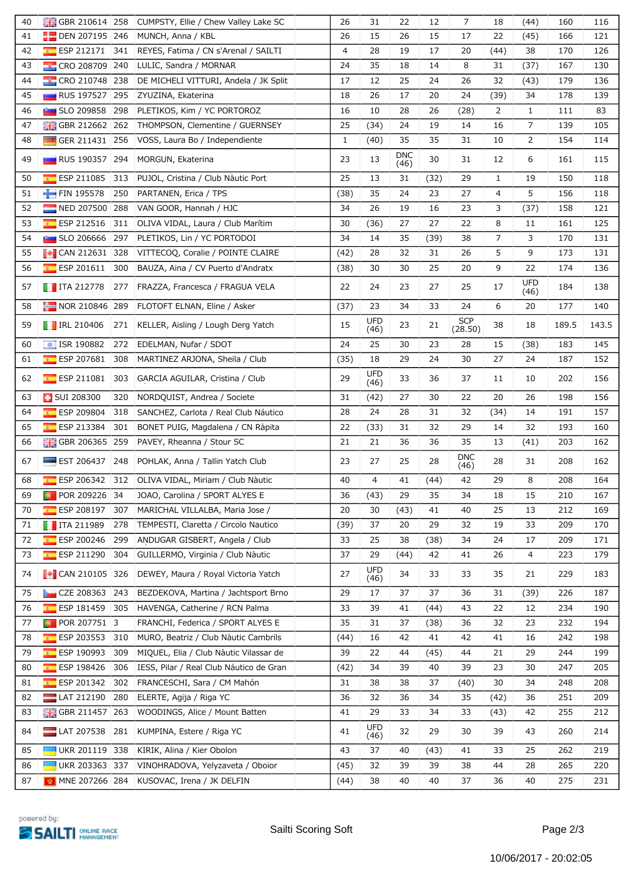| 40 | <b>B</b> GBR 210614 258              | CUMPSTY, Ellie / Chew Valley Lake SC           | 26           | 31                 | 22                 | 12   | 7                     | 18           | (44)               | 160   | 116   |
|----|--------------------------------------|------------------------------------------------|--------------|--------------------|--------------------|------|-----------------------|--------------|--------------------|-------|-------|
| 41 | <b>DEN 207195 246</b>                | MUNCH, Anna / KBL                              | 26           | 15                 | 26                 | 15   | 17                    | 22           | (45)               | 166   | 121   |
| 42 | $E =$ ESP 212171<br>341              | REYES, Fatima / CN s'Arenal / SAILTI           | 4            | 28                 | 19                 | 17   | 20                    | (44)         | 38                 | 170   | 126   |
| 43 | CRO 208709 240                       | LULIC, Sandra / MORNAR                         | 24           | 35                 | 18                 | 14   | 8                     | 31           | (37)               | 167   | 130   |
| 44 | CRO 210748 238                       | DE MICHELI VITTURI, Andela / JK Split          | 17           | 12                 | 25                 | 24   | 26                    | 32           | (43)               | 179   | 136   |
| 45 | <b>RUS 197527 295</b>                | ZYUZINA, Ekaterina                             | 18           | 26                 | 17                 | 20   | 24                    | (39)         | 34                 | 178   | 139   |
| 46 | <b>External SLO 209858 298</b>       | PLETIKOS, Kim / YC PORTOROZ                    | 16           | 10                 | 28                 | 26   | (28)                  | 2            | $\mathbf{1}$       | 111   | 83    |
| 47 | GBR 212662 262                       | THOMPSON, Clementine / GUERNSEY                | 25           | (34)               | 24                 | 19   | 14                    | 16           | $\overline{7}$     | 139   | 105   |
| 48 | GER 211431 256                       | VOSS, Laura Bo / Independiente                 | $\mathbf{1}$ | (40)               | 35                 | 35   | 31                    | 10           | 2                  | 154   | 114   |
| 49 | $\blacksquare$ RUS 190357 294        | MORGUN, Ekaterina                              | 23           | 13                 | <b>DNC</b><br>(46) | 30   | 31                    | 12           | 6                  | 161   | 115   |
| 50 | $E$ ESP 211085<br>313                | PUJOL, Cristina / Club Nàutic Port             | 25           | 13                 | 31                 | (32) | 29                    | $\mathbf{1}$ | 19                 | 150   | 118   |
| 51 | $FIN$ 195578<br>250                  | PARTANEN, Erica / TPS                          | (38)         | 35                 | 24                 | 23   | 27                    | 4            | 5                  | 156   | 118   |
| 52 | NED 207500 288                       | VAN GOOR, Hannah / HJC                         | 34           | 26                 | 19                 | 16   | 23                    | 3            | (37)               | 158   | 121   |
| 53 | $E$ ESP 212516<br>311                | OLIVA VIDAL, Laura / Club Marítim              | 30           | (36)               | 27                 | 27   | 22                    | 8            | 11                 | 161   | 125   |
| 54 | <b>External SLO 206666</b><br>297    | PLETIKOS, Lin / YC PORTODOI                    | 34           | 14                 | 35                 | (39) | 38                    | 7            | 3                  | 170   | 131   |
| 55 | $\sim$ CAN 212631 328                | VITTECOQ, Coralie / POINTE CLAIRE              | (42)         | 28                 | 32                 | 31   | 26                    | 5            | 9                  | 173   | 131   |
| 56 | $\sqrt{10}$ ESP 201611<br>300        | BAUZA, Aina / CV Puerto d'Andratx              | (38)         | 30                 | 30                 | 25   | 20                    | 9            | 22                 | 174   | 136   |
| 57 |                                      | TTA 212778 277 FRAZZA, Francesca / FRAGUA VELA | 22           | 24                 | 23                 | 27   | 25                    | 17           | <b>UFD</b><br>(46) | 184   | 138   |
| 58 |                                      | NOR 210846 289 FLOTOFT ELNAN, Eline / Asker    | (37)         | 23                 | 34                 | 33   | 24                    | 6            | 20                 | 177   | 140   |
| 59 | $\blacksquare$ IRL 210406            | 271 KELLER, Aisling / Lough Derg Yatch         | 15           | UFD<br>(46)        | 23                 | 21   | <b>SCP</b><br>(28.50) | 38           | 18                 | 189.5 | 143.5 |
| 60 | $\frac{1}{2}$ ISR 190882<br>272      | EDELMAN, Nufar / SDOT                          | 24           | 25                 | 30                 | 23   | 28                    | 15           | (38)               | 183   | 145   |
| 61 | ESP 207681 308                       | MARTINEZ ARJONA, Sheila / Club                 | (35)         | 18                 | 29                 | 24   | 30                    | 27           | 24                 | 187   | 152   |
| 62 | $E$ ESP 211081<br>303                | GARCIA AGUILAR, Cristina / Club                | 29           | UFD<br>(46)        | 33                 | 36   | 37                    | 11           | 10                 | 202   | 156   |
| 63 | <b>B</b> SUI 208300<br>320           | NORDQUIST, Andrea / Societe                    | 31           | (42)               | 27                 | 30   | 22                    | 20           | 26                 | 198   | 156   |
| 64 | $E = ESP 209804$<br>318              | SANCHEZ, Carlota / Real Club Náutico           | 28           | 24                 | 28                 | 31   | 32                    | (34)         | 14                 | 191   | 157   |
| 65 | <b>ESP 213384</b><br>301             | BONET PUIG, Magdalena / CN Ràpita              | 22           | (33)               | 31                 | 32   | 29                    | 14           | 32                 | 193   | 160   |
| 66 | GBR 206365 259                       | PAVEY, Rheanna / Stour SC                      | 21           | 21                 | 36                 | 36   | 35                    | 13           | (41)               | 203   | 162   |
| 67 | $\blacksquare$ EST 206437 248        | POHLAK, Anna / Tallin Yatch Club               | 23           | 27                 | 25                 | 28   | <b>DNC</b><br>(46)    | 28           | 31                 | 208   | 162   |
| 68 | $E$ ESP 206342                       | 312 OLIVA VIDAL, Miriam / Club Nàutic          | 40           | 4                  | 41                 | (44) | 42                    | 29           | 8                  | 208   | 164   |
| 69 | POR 209226 34<br>O.                  | JOAO, Carolina / SPORT ALYES E                 | 36           | (43)               | 29                 | 35   | 34                    | 18           | 15                 | 210   | 167   |
| 70 | ESP 208197 307                       | MARICHAL VILLALBA, Maria Jose /                | 20           | 30                 | (43)               | 41   | 40                    | 25           | 13                 | 212   | 169   |
| 71 | $\blacksquare$ ITA 211989<br>278     | TEMPESTI, Claretta / Circolo Nautico           | (39)         | 37                 | 20                 | 29   | 32                    | 19           | 33                 | 209   | 170   |
| 72 | $E$ ESP 200246<br>299                | ANDUGAR GISBERT, Angela / Club                 | 33           | 25                 | 38                 | (38) | 34                    | 24           | 17                 | 209   | 171   |
| 73 | ESP 211290 304                       | GUILLERMO, Virginia / Club Nàutic              | 37           | 29                 | (44)               | 42   | 41                    | 26           | 4                  | 223   | 179   |
| 74 | $\sim$ CAN 210105 326                | DEWEY, Maura / Royal Victoria Yatch            | 27           | <b>UFD</b><br>(46) | 34                 | 33   | 33                    | 35           | 21                 | 229   | 183   |
| 75 | CZE 208363 243                       | BEZDEKOVA, Martina / Jachtsport Brno           | 29           | 17                 | 37                 | 37   | 36                    | 31           | (39)               | 226   | 187   |
| 76 | ESP 181459 305                       | HAVENGA, Catherine / RCN Palma                 | 33           | 39                 | 41                 | (44) | 43                    | 22           | 12                 | 234   | 190   |
| 77 | $\bullet$ POR 207751 3               | FRANCHI, Federica / SPORT ALYES E              | 35           | 31                 | 37                 | (38) | 36                    | 32           | 23                 | 232   | 194   |
| 78 | ESP 203553<br>310<br>$\mathcal{R}$ . | MURO, Beatriz / Club Nàutic Cambrils           | (44)         | 16                 | 42                 | 41   | 42                    | 41           | 16                 | 242   | 198   |
| 79 | $E$ ESP 190993<br>309                | MIQUEL, Elia / Club Nàutic Vilassar de         | 39           | 22                 | 44                 | (45) | 44                    | 21           | 29                 | 244   | 199   |
| 80 | $E =$ ESP 198426 306                 | IESS, Pilar / Real Club Náutico de Gran        | (42)         | 34                 | 39                 | 40   | 39                    | 23           | 30                 | 247   | 205   |
| 81 | ESP 201342<br>302                    | FRANCESCHI, Sara / CM Mahón                    | 31           | 38                 | 38                 | 37   | (40)                  | 30           | 34                 | 248   | 208   |
| 82 | $LAT$ 212190<br>280                  | ELERTE, Agija / Riga YC                        | 36           | 32                 | 36                 | 34   | 35                    | (42)         | 36                 | 251   | 209   |
| 83 | GBR 211457 263                       | WOODINGS, Alice / Mount Batten                 | 41           | 29                 | 33                 | 34   | 33                    | (43)         | 42                 | 255   | 212   |
| 84 | LAT 207538   281                     | KUMPINA, Estere / Riga YC                      | 41           | <b>UFD</b><br>(46) | 32                 | 29   | 30                    | 39           | 43                 | 260   | 214   |
| 85 | UKR 201119 338                       | KIRIK, Alina / Kier Obolon                     | 43           | 37                 | 40                 | (43) | 41                    | 33           | 25                 | 262   | 219   |
| 86 | UKR 203363 337                       | VINOHRADOVA, Yelyzaveta / Oboior               | (45)         | 32                 | 39                 | 39   | 38                    | 44           | 28                 | 265   | 220   |
| 87 | MNE 207266 284                       | KUSOVAC, Irena / JK DELFIN                     | (44)         | 38                 | 40                 | 40   | 37                    | 36           | 40                 | 275   | 231   |